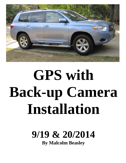

# **GPS with Back-up Camera Installation**

## **9/19 & 20/2014**

**By Malcolm Beasley**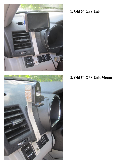



### **1. Old 5" GPS Unit**

#### **2. Old 5" GPS Unit Mount**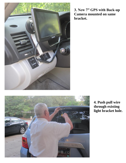

**3. New 7" GPS with Back-up Camera mounted on same bracket.**



**4. Push pull wire through existing light bracket hole.**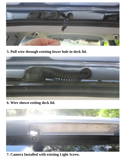

**5. Pull wire through existing lower hole in deck lid.**



**6. Wire shown exiting deck lid.**



**7. Camera Installed with existing Light Screw.**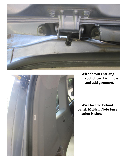



**8. Wire shown entering roof of car. Drill hole and add grommet.**

**9. Wire located behind panel. McNeil, Note Fuse location is shown.**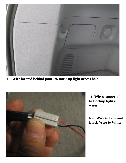

**10. Wire located behind panel to Back-up light access hole.**



**11. Wires connected to Backup lights wires.**

**Red Wire to Blue and Black Wire to White.**